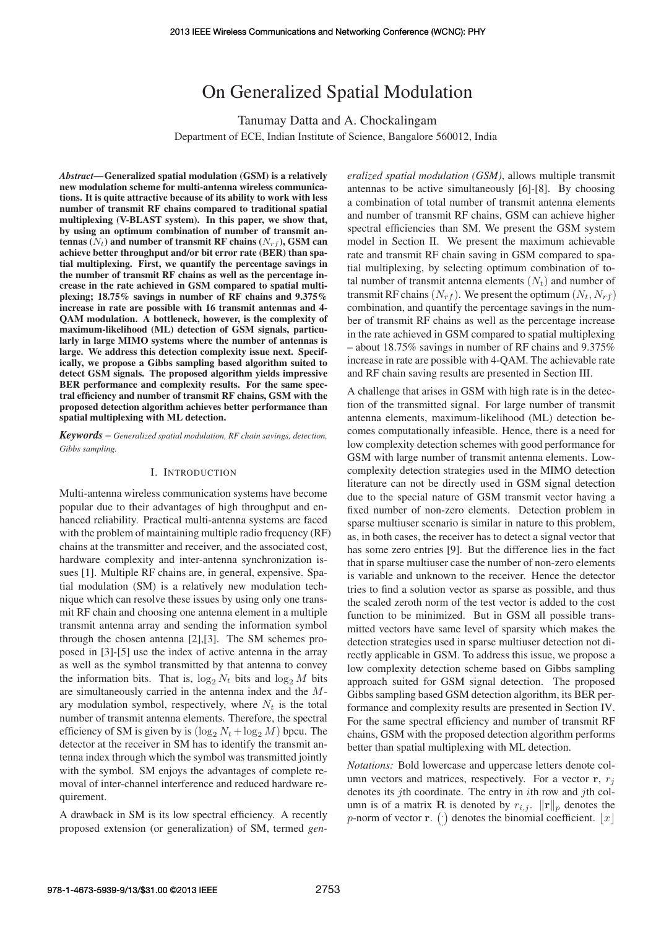# On Generalized Spatial Modulation

Tanumay Datta and A. Chockalingam Department of ECE, Indian Institute of Science, Bangalore 560012, India

*Abstract*—Generalized spatial modulation (GSM) is a relatively new modulation scheme for multi-antenna wireless communications. It is quite attractive because of its ability to work with less number of transmit RF chains compared to traditional spatial multiplexing (V-BLAST system). In this paper, we show that, by using an optimum combination of number of transmit antennas  $(N_t)$  and number of transmit RF chains  $(N_{rf})$ , GSM can achieve better throughput and/or bit error rate (BER) than spatial multiplexing. First, we quantify the percentage savings in the number of transmit RF chains as well as the percentage increase in the rate achieved in GSM compared to spatial multiplexing; 18.75% savings in number of RF chains and 9.375% increase in rate are possible with 16 transmit antennas and 4- QAM modulation. A bottleneck, however, is the complexity of maximum-likelihood (ML) detection of GSM signals, particularly in large MIMO systems where the number of antennas is large. We address this detection complexity issue next. Specifically, we propose a Gibbs sampling based algorithm suited to detect GSM signals. The proposed algorithm yields impressive BER performance and complexity results. For the same spectral efficiency and number of transmit RF chains, GSM with the proposed detection algorithm achieves better performance than spatial multiplexing with ML detection.

*Keywords* – *Generalized spatial modulation, RF chain savings, detection, Gibbs sampling.*

### I. INTRODUCTION

Multi-antenna wireless communication systems have become popular due to their advantages of high throughput and enhanced reliability. Practical multi-antenna systems are faced with the problem of maintaining multiple radio frequency (RF) chains at the transmitter and receiver, and the associated cost, hardware complexity and inter-antenna synchronization issues [1]. Multiple RF chains are, in general, expensive. Spatial modulation (SM) is a relatively new modulation technique which can resolve these issues by using only one transmit RF chain and choosing one antenna element in a multiple transmit antenna array and sending the information symbol through the chosen antenna [2],[3]. The SM schemes proposed in [3]-[5] use the index of active antenna in the array as well as the symbol transmitted by that antenna to convey the information bits. That is,  $\log_2 N_t$  bits and  $\log_2 M$  bits are simultaneously carried in the antenna index and the Mary modulation symbol, respectively, where  $N_t$  is the total number of transmit antenna elements. Therefore, the spectral efficiency of SM is given by is  $(\log_2 N_t + \log_2 M)$  bpcu. The detector at the receiver in SM has to identify the transmit antenna index through which the symbol was transmitted jointly with the symbol. SM enjoys the advantages of complete removal of inter-channel interference and reduced hardware requirement.

A drawback in SM is its low spectral efficiency. A recently proposed extension (or generalization) of SM, termed *gen-* *eralized spatial modulation (GSM)*, allows multiple transmit antennas to be active simultaneously [6]-[8]. By choosing a combination of total number of transmit antenna elements and number of transmit RF chains, GSM can achieve higher spectral efficiencies than SM. We present the GSM system model in Section II. We present the maximum achievable rate and transmit RF chain saving in GSM compared to spatial multiplexing, by selecting optimum combination of total number of transmit antenna elements  $(N_t)$  and number of transmit RF chains  $(N_{rf})$ . We present the optimum  $(N_t, N_{rf})$ combination, and quantify the percentage savings in the number of transmit RF chains as well as the percentage increase in the rate achieved in GSM compared to spatial multiplexing – about 18.75% savings in number of RF chains and 9.375% increase in rate are possible with 4-QAM. The achievable rate and RF chain saving results are presented in Section III.

A challenge that arises in GSM with high rate is in the detection of the transmitted signal. For large number of transmit antenna elements, maximum-likelihood (ML) detection becomes computationally infeasible. Hence, there is a need for low complexity detection schemes with good performance for GSM with large number of transmit antenna elements. Lowcomplexity detection strategies used in the MIMO detection literature can not be directly used in GSM signal detection due to the special nature of GSM transmit vector having a fixed number of non-zero elements. Detection problem in sparse multiuser scenario is similar in nature to this problem, as, in both cases, the receiver has to detect a signal vector that has some zero entries [9]. But the difference lies in the fact that in sparse multiuser case the number of non-zero elements is variable and unknown to the receiver. Hence the detector tries to find a solution vector as sparse as possible, and thus the scaled zeroth norm of the test vector is added to the cost function to be minimized. But in GSM all possible transmitted vectors have same level of sparsity which makes the detection strategies used in sparse multiuser detection not directly applicable in GSM. To address this issue, we propose a low complexity detection scheme based on Gibbs sampling approach suited for GSM signal detection. The proposed Gibbs sampling based GSM detection algorithm, its BER performance and complexity results are presented in Section IV. For the same spectral efficiency and number of transmit RF chains, GSM with the proposed detection algorithm performs better than spatial multiplexing with ML detection.

*Notations:* Bold lowercase and uppercase letters denote column vectors and matrices, respectively. For a vector  $r, r<sub>j</sub>$ denotes its *j*th coordinate. The entry in *i*th row and *j*th column is of a matrix **R** is denoted by  $r_{i,j}$ .  $\|\mathbf{r}\|_p$  denotes the p-norm of vector **r**. () denotes the binomial coefficient.  $\lfloor x \rfloor$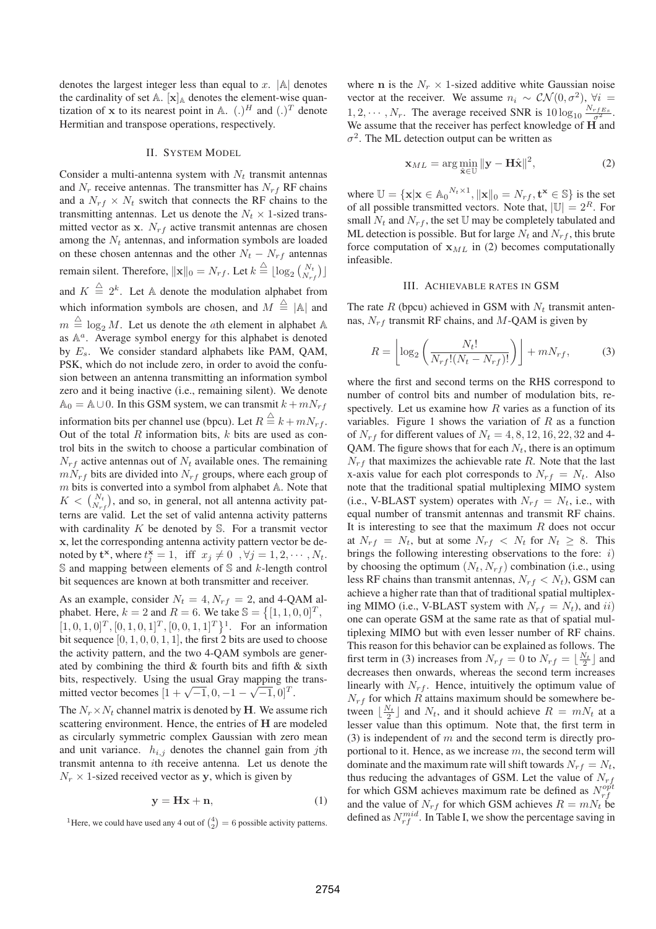denotes the largest integer less than equal to  $x$ .  $|\mathbb{A}|$  denotes the cardinality of set  $A$ .  $[x]_A$  denotes the element-wise quantization of x to its nearest point in  $A$ . (.)<sup>H</sup> and (.)<sup>T</sup> denote Hermitian and transpose operations, respectively.

# II. SYSTEM MODEL

Consider a multi-antenna system with  $N_t$  transmit antennas and  $N_r$  receive antennas. The transmitter has  $N_{rf}$  RF chains and a  $N_{rf} \times N_t$  switch that connects the RF chains to the transmitting antennas. Let us denote the  $N_t \times 1$ -sized transmitted vector as x.  $N_{rf}$  active transmit antennas are chosen among the  $N_t$  antennas, and information symbols are loaded on these chosen antennas and the other  $N_t - N_{rf}$  antennas remain silent. Therefore,  $\|\mathbf{x}\|_0 = N_{rf}$ . Let  $k \stackrel{\triangle}{=} \lfloor \log_2 {N_t \choose N_{rf}} \rfloor$ and  $K \stackrel{\triangle}{=} 2^k$ . Let A denote the modulation alphabet from which information symbols are chosen, and  $M \triangleq |A|$  and  $m \triangleq \log_2 M$ . Let us denote the *a*th element in alphabet A as  $\mathbb{A}^a$ . Average symbol energy for this alphabet is denoted by  $E_s$ . We consider standard alphabets like PAM, QAM, PSK, which do not include zero, in order to avoid the confusion between an antenna transmitting an information symbol zero and it being inactive (i.e., remaining silent). We denote  $A_0 = A \cup 0$ . In this GSM system, we can transmit  $k + mN_{rf}$ information bits per channel use (bpcu). Let  $R \stackrel{\triangle}{=} k + mN_{rf}$ . Out of the total  $R$  information bits,  $k$  bits are used as control bits in the switch to choose a particular combination of  $N_{rf}$  active antennas out of  $N_t$  available ones. The remaining  $mN_{rf}$  bits are divided into  $N_{rf}$  groups, where each group of  $m$  bits is converted into a symbol from alphabet  $A$ . Note that  $K < {N_t \choose N_{rf}}$ , and so, in general, not all antenna activity patterns are valid. Let the set of valid antenna activity patterns with cardinality  $K$  be denoted by  $S$ . For a transmit vector x, let the corresponding antenna activity pattern vector be denoted by  $\mathbf{t}^{\mathbf{x}},$  where  $t_j^{\mathbf{x}} = 1$ , iff  $x_j \neq 0$ ,  $\forall j = 1, 2, \cdots, N_t$ .  $\mathbb S$  and mapping between elements of  $\mathbb S$  and k-length control bit sequences are known at both transmitter and receiver.

As an example, consider  $N_t = 4$ ,  $N_{rf} = 2$ , and 4-QAM alphabet. Here,  $k = 2$  and  $R = 6$ . We take  $\mathbb{S} = \{ [1, 1, 0, 0]^T,$  $[1, 0, 1, 0]^T$ ,  $[0, 1, 0, 1]^T$ ,  $[0, 0, 1, 1]^T$ <sup>1</sup>. For an information bit sequence  $[0, 1, 0, 0, 1, 1]$ , the first 2 bits are used to choose the activity pattern, and the two 4-QAM symbols are generated by combining the third & fourth bits and fifth & sixth bits, respectively. Using the usual Gray mapping the transmitted vector becomes  $[1 + \sqrt{-1}, 0, -1 - \sqrt{-1}, 0]^T$ .

The  $N_r \times N_t$  channel matrix is denoted by H. We assume rich scattering environment. Hence, the entries of H are modeled as circularly symmetric complex Gaussian with zero mean and unit variance.  $h_{i,j}$  denotes the channel gain from jth transmit antenna to ith receive antenna. Let us denote the  $N_r \times 1$ -sized received vector as y, which is given by

$$
y = Hx + n,\tag{1}
$$

<sup>1</sup>Here, we could have used any 4 out of  $\binom{4}{2} = 6$  possible activity patterns.

where n is the  $N_r \times 1$ -sized additive white Gaussian noise vector at the receiver. We assume  $n_i \sim \mathcal{CN}(0, \sigma^2)$ ,  $\forall i =$  $1, 2, \cdots, N_r$ . The average received SNR is  $10 \log_{10} \frac{N_{rfEs}}{\sigma^2}$ . We assume that the receiver has perfect knowledge of  $\overrightarrow{H}$  and  $\sigma^2$ . The ML detection output can be written as

$$
\mathbf{x}_{ML} = \arg\min_{\hat{\mathbf{x}} \in \mathbb{U}} \|\mathbf{y} - \mathbf{H}\hat{\mathbf{x}}\|^2,
$$
 (2)

where  $\mathbb{U} = {\mathbf{x} | \mathbf{x} \in \mathbb{A}_0^{N_t \times 1}, ||\mathbf{x}||_0 = N_{rf}, \mathbf{t}^{\mathbf{x}} \in \mathbb{S}}$  is the set of all possible transmitted vectors. Note that,  $|\mathbb{U}| = 2^R$ . For small  $N_t$  and  $N_{rf}$ , the set U may be completely tabulated and ML detection is possible. But for large  $N_t$  and  $N_{rf}$ , this brute force computation of  $x_{ML}$  in (2) becomes computationally infeasible.

# III. ACHIEVABLE RATES IN GSM

The rate  $R$  (bpcu) achieved in GSM with  $N_t$  transmit antennas,  $N_{rf}$  transmit RF chains, and M-QAM is given by

$$
R = \left\lfloor \log_2 \left( \frac{N_t!}{N_{rf}!(N_t - N_{rf})!} \right) \right\rfloor + mN_{rf},\tag{3}
$$

where the first and second terms on the RHS correspond to number of control bits and number of modulation bits, respectively. Let us examine how  $R$  varies as a function of its variables. Figure 1 shows the variation of  $R$  as a function of  $N_{rf}$  for different values of  $N_t = 4, 8, 12, 16, 22, 32$  and 4-QAM. The figure shows that for each  $N_t$ , there is an optimum  $N_{rf}$  that maximizes the achievable rate R. Note that the last x-axis value for each plot corresponds to  $N_{rf} = N_t$ . Also note that the traditional spatial multiplexing MIMO system (i.e., V-BLAST system) operates with  $N_{rf} = N_t$ , i.e., with equal number of transmit antennas and transmit RF chains. It is interesting to see that the maximum  $R$  does not occur at  $N_{rf} = N_t$ , but at some  $N_{rf} < N_t$  for  $N_t \geq 8$ . This brings the following interesting observations to the fore:  $i$ ) by choosing the optimum  $(N_t, N_{rf})$  combination (i.e., using less RF chains than transmit antennas,  $N_{rf} < N_t$ ), GSM can achieve a higher rate than that of traditional spatial multiplexing MIMO (i.e., V-BLAST system with  $N_{rf} = N_t$ ), and ii) one can operate GSM at the same rate as that of spatial multiplexing MIMO but with even lesser number of RF chains. This reason for this behavior can be explained as follows. The first term in (3) increases from  $N_{rf} = 0$  to  $N_{rf} = \lfloor \frac{N_t}{2} \rfloor$  and decreases then onwards, whereas the second term increases linearly with  $N_{rf}$ . Hence, intuitively the optimum value of  $N_{rf}$  for which R attains maximum should be somewhere between  $\lfloor \frac{N_t}{2} \rfloor$  and  $N_t$ , and it should achieve  $R = mN_t$  at a lesser value than this optimum. Note that, the first term in (3) is independent of  $m$  and the second term is directly proportional to it. Hence, as we increase  $m$ , the second term will dominate and the maximum rate will shift towards  $N_{rf} = N_t$ , thus reducing the advantages of GSM. Let the value of  $N_{rf}$ for which GSM achieves maximum rate be defined as  $N_{rf}^{opt}$ and the value of  $N_{rf}$  for which GSM achieves  $R = mN_t$  be defined as  $N_{rf}^{mid}$ . In Table I, we show the percentage saving in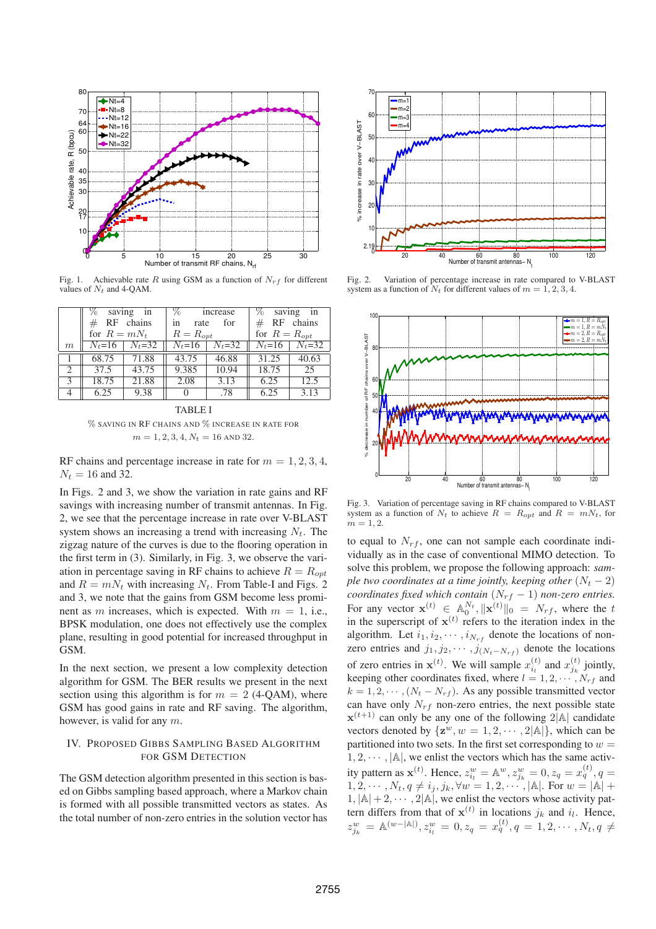

Fig. 1. Achievable rate R using GSM as a function of  $N_{rf}$  for different values of  $N_t$  and 4-QAM.

|                               | %<br>saving in<br>$#$ RF chains<br>for $R = mN_t$ |            | $\%$<br>increase<br>for<br>rate<br>1n<br>$R = R_{opt}$ |            | $\%$ saving in<br>$#$ RF chains<br>for $R = R_{opt}$ |            |
|-------------------------------|---------------------------------------------------|------------|--------------------------------------------------------|------------|------------------------------------------------------|------------|
| m                             | $N_t = 16$                                        | $N_t = 32$ | $N_t = 16$                                             | $N_t = 32$ | $N_t = 16$                                           | $N_t = 32$ |
|                               | 68.75                                             | 71.88      | 43.75                                                  | 46.88      | 31.25                                                | 40.63      |
| $\mathfrak{D}_{\mathfrak{p}}$ | 37.5                                              | 43.75      | 9.385                                                  | 10.94      | 18.75                                                | 25         |
| 3                             | 18.75                                             | 21.88      | 2.08                                                   | 3.13       | 6.25                                                 | 12.5       |
|                               | 6.25                                              | 9.38       | $\mathbf{O}$                                           | .78        | 6.25                                                 | 3.13       |

TABLE I % SAVING IN RF CHAINS AND % INCREASE IN RATE FOR  $m = 1, 2, 3, 4, N_t = 16$  AND 32.

RF chains and percentage increase in rate for  $m = 1, 2, 3, 4$ ,  $N_t = 16$  and 32.

In Figs. 2 and 3, we show the variation in rate gains and RF savings with increasing number of transmit antennas. In Fig. 2, we see that the percentage increase in rate over V-BLAST system shows an increasing a trend with increasing  $N_t$ . The zigzag nature of the curves is due to the flooring operation in the first term in (3). Similarly, in Fig. 3, we observe the variation in percentage saving in RF chains to achieve  $R = R_{opt}$ and  $R = mN_t$  with increasing  $N_t$ . From Table-I and Figs. 2 and 3, we note that the gains from GSM become less prominent as m increases, which is expected. With  $m = 1$ , i.e., BPSK modulation, one does not effectively use the complex plane, resulting in good potential for increased throughput in GSM.

In the next section, we present a low complexity detection algorithm for GSM. The BER results we present in the next section using this algorithm is for  $m = 2$  (4-QAM), where GSM has good gains in rate and RF saving. The algorithm, however, is valid for any m.

# IV. PROPOSED GIBBS SAMPLING BASED ALGORITHM FOR GSM DETECTION

The GSM detection algorithm presented in this section is based on Gibbs sampling based approach, where a Markov chain is formed with all possible transmitted vectors as states. As the total number of non-zero entries in the solution vector has



Fig. 2. Variation of percentage increase in rate compared to V-BLAST system as a function of  $N_t$  for different values of  $m = 1, 2, 3, 4$ .



Fig. 3. Variation of percentage saving in RF chains compared to V-BLAST system as a function of  $N_t$  to achieve  $R = R_{opt}$  and  $R = mN_t$ , for  $m = 1, 2.$ 

to equal to  $N_{rf}$ , one can not sample each coordinate individually as in the case of conventional MIMO detection. To solve this problem, we propose the following approach: *sample two coordinates at a time jointly, keeping other*  $(N_t - 2)$ *coordinates fixed which contain*  $(N_{rf} - 1)$  *non-zero entries.* For any vector  $\mathbf{x}^{(t)} \in \mathbb{A}_{0}^{N_t}, \|\mathbf{x}^{(t)}\|_{0} = N_{rf}$ , where the t in the superscript of  $x^{(t)}$  refers to the iteration index in the algorithm. Let  $i_1, i_2, \cdots, i_{N_{rf}}$  denote the locations of nonzero entries and  $j_1, j_2, \cdots, j_{(N_t-N_{rf})}$  denote the locations of zero entries in  $\mathbf{x}^{(t)}$ . We will sample  $x_{i_l}^{(t)}$  and  $x_{j_k}^{(t)}$  jointly, keeping other coordinates fixed, where  $l = 1, 2, \cdots, N_{rf}$  and  $k = 1, 2, \cdots, (N_t - N_{rf})$ . As any possible transmitted vector can have only  $N_{rf}$  non-zero entries, the next possible state  $\mathbf{x}^{(t+1)}$  can only be any one of the following  $2|\mathbb{A}|$  candidate vectors denoted by  $\{z^w, w = 1, 2, \dots, 2|\mathbb{A}|\}$ , which can be partitioned into two sets. In the first set corresponding to  $w =$  $1, 2, \dots, |\mathbb{A}|$ , we enlist the vectors which has the same activity pattern as  $\mathbf{x}^{(t)}$ . Hence,  $z_{i_l}^w = \mathbb{A}^w$ ,  $z_{j_k}^w = 0$ ,  $z_q = x_q^{(t)}$ ,  $q =$  $1, 2, \cdots, N_t, q \neq i_j, j_k, \forall w = 1, 2, \cdots, |\mathbb{A}|.$  For  $w = |\mathbb{A}| +$  $1, |\mathbb{A}| + 2, \cdots, 2|\mathbb{A}|$ , we enlist the vectors whose activity pattern differs from that of  $\mathbf{x}^{(t)}$  in locations  $j_k$  and  $i_l$ . Hence,  $z_{j_k}^w = \mathbb{A}^{(w-|\mathbb{A}|)}, z_{i_l}^w = 0, z_q = x_q^{(t)}, q = 1, 2, \cdots, N_t, q \neq 0$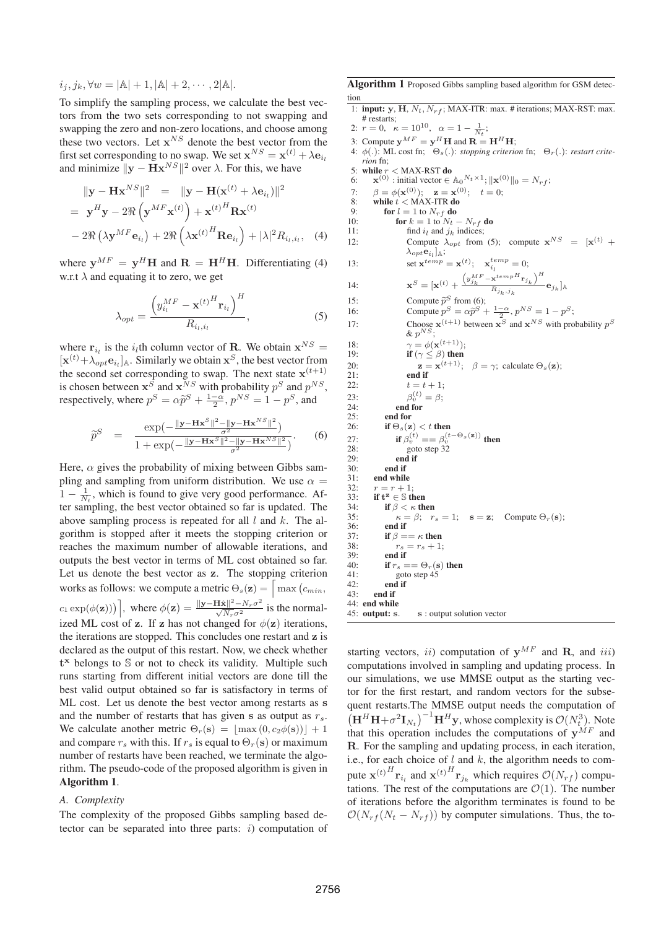$i_j, j_k, \forall w = |\mathbb{A}| + 1, |\mathbb{A}| + 2, \cdots, 2|\mathbb{A}|.$ 

To simplify the sampling process, we calculate the best vectors from the two sets corresponding to not swapping and swapping the zero and non-zero locations, and choose among these two vectors. Let  $x^{NS}$  denote the best vector from the first set corresponding to no swap. We set  $\mathbf{x}^{NS} = \mathbf{x}^{(t)} + \lambda \mathbf{e}_{i_l}$ and minimize  $||\mathbf{y} - \mathbf{H} \mathbf{x}^{NS}||^2$  over  $\lambda$ . For this, we have

$$
\|\mathbf{y} - \mathbf{H}\mathbf{x}^{NS}\|^2 = \|\mathbf{y} - \mathbf{H}(\mathbf{x}^{(t)} + \lambda \mathbf{e}_{i_l})\|^2
$$
  
=  $\mathbf{y}^H \mathbf{y} - 2\Re\left(\mathbf{y}^{MF} \mathbf{x}^{(t)}\right) + \mathbf{x}^{(t)H} \mathbf{R} \mathbf{x}^{(t)}$   
-  $2\Re\left(\lambda \mathbf{y}^{MF} \mathbf{e}_{i_l}\right) + 2\Re\left(\lambda \mathbf{x}^{(t)H} \mathbf{R} \mathbf{e}_{i_l}\right) + |\lambda|^2 R_{i_l, i_l}, \quad (4)$ 

where  $y^{MF} = y^H H$  and  $R = H^H H$ . Differentiating (4) w.r.t  $\lambda$  and equating it to zero, we get

$$
\lambda_{opt} = \frac{\left(y_{i_l}^{MF} - \mathbf{x}^{(t)^H} \mathbf{r}_{i_l}\right)^H}{R_{i_l, i_l}},
$$
\n(5)

where  $\mathbf{r}_{i_l}$  is the  $i_l$ th column vector of **R**. We obtain  $\mathbf{x}^{NS}$  =  $[\mathbf{x}^{(t)} + \lambda_{opt} \mathbf{e}_{i_l}]_A$ . Similarly we obtain  $\mathbf{x}^S$ , the best vector from the second set corresponding to swap. The next state  $x^{(t+1)}$ is chosen between  $x^S$  and  $x^{NS}$  with probability  $p^S$  and  $p^{NS}$ , respectively, where  $p^S = \alpha \tilde{p}^S + \frac{1-\alpha}{2}$ ,  $p^{NS} = 1 - p^S$ , and

$$
\widetilde{p}^{S} = \frac{\exp(-\frac{\|\mathbf{y} - \mathbf{H}\mathbf{x}^{S}\|^{2} - \|\mathbf{y} - \mathbf{H}\mathbf{x}^{NS}\|^{2}}{\sigma^{2}})}{1 + \exp(-\frac{\|\mathbf{y} - \mathbf{H}\mathbf{x}^{S}\|^{2} - \|\mathbf{y} - \mathbf{H}\mathbf{x}^{NS}\|^{2}}{\sigma^{2}})}.
$$
 (6)

Here,  $\alpha$  gives the probability of mixing between Gibbs sampling and sampling from uniform distribution. We use  $\alpha =$  $1 - \frac{1}{N_t}$ , which is found to give very good performance. After sampling, the best vector obtained so far is updated. The above sampling process is repeated for all  $l$  and  $k$ . The algorithm is stopped after it meets the stopping criterion or reaches the maximum number of allowable iterations, and outputs the best vector in terms of ML cost obtained so far. Let us denote the best vector as z. The stopping criterion works as follows: we compute a metric  $\Theta_s(\mathbf{z}) = \int \max_{i} (c_{min}, \mathbf{z})$  $c_1 \exp(\phi(\mathbf{z}))$ , where  $\phi(\mathbf{z}) = \frac{\|\mathbf{y}-\mathbf{H}\hat{\mathbf{x}}\|^2 - N_r \sigma^2}{\sqrt{N_r} \sigma^2}$  $rac{\mathbf{H} \mathbf{x} \parallel -N_r \sigma}{\sqrt{N_r} \sigma^2}$  is the normalized ML cost of z. If z has not changed for  $\phi(z)$  iterations, the iterations are stopped. This concludes one restart and z is declared as the output of this restart. Now, we check whether t<sup>x</sup> belongs to S or not to check its validity. Multiple such runs starting from different initial vectors are done till the best valid output obtained so far is satisfactory in terms of ML cost. Let us denote the best vector among restarts as s and the number of restarts that has given s as output as  $r_s$ . We calculate another metric  $\Theta_r(s) = \lfloor \max(0, c_2 \phi(s)) \rfloor + 1$ and compare  $r_s$  with this. If  $r_s$  is equal to  $\Theta_r(\mathbf{s})$  or maximum number of restarts have been reached, we terminate the algorithm. The pseudo-code of the proposed algorithm is given in Algorithm 1.

# *A. Complexity*

The complexity of the proposed Gibbs sampling based detector can be separated into three parts:  $i$ ) computation of Algorithm 1 Proposed Gibbs sampling based algorithm for GSM detection

- 1: input: y, H,  $N_t$ ,  $N_{rf}$ ; MAX-ITR: max. # iterations; MAX-RST: max. # restarts; 2:  $r = 0$ ,  $\kappa = 10^{10}$ ,  $\alpha = 1 - \frac{1}{N_t};$ 3: Compute  $\mathbf{y}^{MF} = \mathbf{y}^H \mathbf{H}$  and  $\mathbf{R} = \mathbf{H}^H \mathbf{H}$ ;  $\phi(.)$ : ML cost fn;  $\Theta_s(.)$ : *stopping criterion* fn;  $\Theta_r(.)$ : *restart criterion* fn; 5: while  $r <$  MAX-RST do
- 6:  $\mathbf{x}^{(0)}$  : initial vector  $\in \mathbb{A}_0^{N_t \times 1}$ ;  $\|\mathbf{x}^{(0)}\|_0 = N_{rf}$ ;
- 7:  $\beta = \phi(\mathbf{x}^{(0)})$ ;  $\mathbf{z} = \mathbf{x}^{(0)}$ ;  $t = 0$ ;

8: while  $t <$  MAX-ITR do

 $14:$ 

 $20:$ <br> $21:$ 

 $23.$ 

9: for  $l = 1$  to  $N_{rf}$  do<br>10: for  $k = 1$  to  $N_t$ . 10: **for**  $k = 1$  to  $N_t - N_{rf}$  **do**<br>11: **find** *i<sub>l</sub>* and *i<sub>l</sub>* indices:

if  $\Theta_s(\mathbf{z}) < t$  then 27: **if**  $\beta_v^{(t)} = \beta_v^{(t-\Theta_s(\mathbf{z}))}$  then

end if

40: **if**  $r_s = \Theta_r(s)$  then<br>41: **p**oto step 45 41: goto step  $\dot{4}$  goto step  $\dot{4}$   $\dot{5}$ end if

31: end while<br>32:  $r = r + 1$  $r = r + 1$ : 33: if  $t^z \in \mathbb{S}$  then 34: **if**  $\beta < \kappa$  then<br>35:  $\kappa = \beta$ :  $r$ 

36: end if<br>37: if  $\beta =$ 37: if  $\beta = \kappa$  then<br>38:  $r_s = r_s + 1$ 38:  $r_s = r_s + 1;$ <br>39: end if 39: end if<br>40: if  $r_e =$ 

43: end if 44: end while<br> $45:$  output: s.

- 11: find  $i_l$  and  $j_k$  indices;<br>12: Compute  $\lambda_{\text{crit}}$  from
- 12: Compute  $\lambda_{opt}$  from (5); compute  $\mathbf{x}^{NS} = [\mathbf{x}^{(t)} +$  $\lambda_{opt} {\bf e}_{i_l}]_{{\mathbb A}};$

13: set  $\mathbf{x}^{temp} = \mathbf{x}^{(t)}$ ;  $\mathbf{x}_{i_l}^{temp} = 0$ ;  $\setminus H$ 

$$
\mathbf{x}^{S} = [\mathbf{x}^{(t)} + \frac{\left(y_{j_k}^{MF} - \mathbf{x}^{tempH}\mathbf{r}_{j_k}\right)^H}{R_{j_k,j_k}}\mathbf{e}_{j_k}]_{\mathbb{A}}
$$

15: Compute  $\tilde{p}^S$  from (6); 16: Compute  $p^S = \alpha \tilde{p}^S + \frac{1-\alpha}{2}, p^{NS} = 1 - p^S;$ 

35:  $\kappa = \beta; \quad r_s = 1; \quad s = \mathbf{z}; \quad \text{Compute } \Theta_r(\mathbf{s});$ <br>36: end if

s : output solution vector

17: Choose 
$$
\mathbf{x}^{(t+1)}
$$
 between  $\mathbf{x}^S$  and  $\mathbf{x}^{NS}$  with probability  $p^S$   
&  $p^{NS}$ ;

18: 
$$
\gamma = \phi(\mathbf{x}^{(t+1)});
$$
  
\n19: **if**  $(\gamma \le \beta)$  **then**  
\n20: **z** =  $\mathbf{x}^{(t+1)}; \quad \beta = \gamma$ ; calculate  $\Theta_s(\mathbf{z});$ 

21: **end if**  
22: 
$$
t = t + 1;
$$
  
23:  $\beta_v^{(t)} = \beta;$ 

 $1 + \exp(-\frac{1}{2})$  $\frac{-\|\mathbf{y}-\mathbf{H}\mathbf{x}^{T}\|^2}{\sigma^2}$ 24:  $\qquad \qquad \text{end for}$ <br>
25:  $\qquad \qquad \text{end for}$ 25: end for<br>26: if  $\Theta_s(\mathbf{z})$ 28: goto step 32<br>29: **end if** 29: **end if**  $30$ 

> starting vectors, ii) computation of  $y^{MF}$  and R, and iii) computations involved in sampling and updating process. In our simulations, we use MMSE output as the starting vector for the first restart, and random vectors for the subsequent restarts.The MMSE output needs the computation of  $\left(\mathbf{H}^{H}\mathbf{H}+\sigma^{2}\mathbf{I}_{N_{t}}\right)^{-1}\mathbf{H}^{H}\mathbf{y}$ , whose complexity is  $\mathcal{O}(N_{t}^{3})$ . Note that this operation includes the computations of  $y^{MF}$  and R. For the sampling and updating process, in each iteration, i.e., for each choice of  $l$  and  $k$ , the algorithm needs to compute  ${\bf x}^{(t)}^{H} {\bf r}_{i_l}$  and  ${\bf x}^{(t)}^{H} {\bf r}_{j_k}$  which requires  $\mathcal{O}(N_{rf})$  computations. The rest of the computations are  $\mathcal{O}(1)$ . The number of iterations before the algorithm terminates is found to be  $\mathcal{O}(N_{rf}(N_t - N_{rf}))$  by computer simulations. Thus, the to-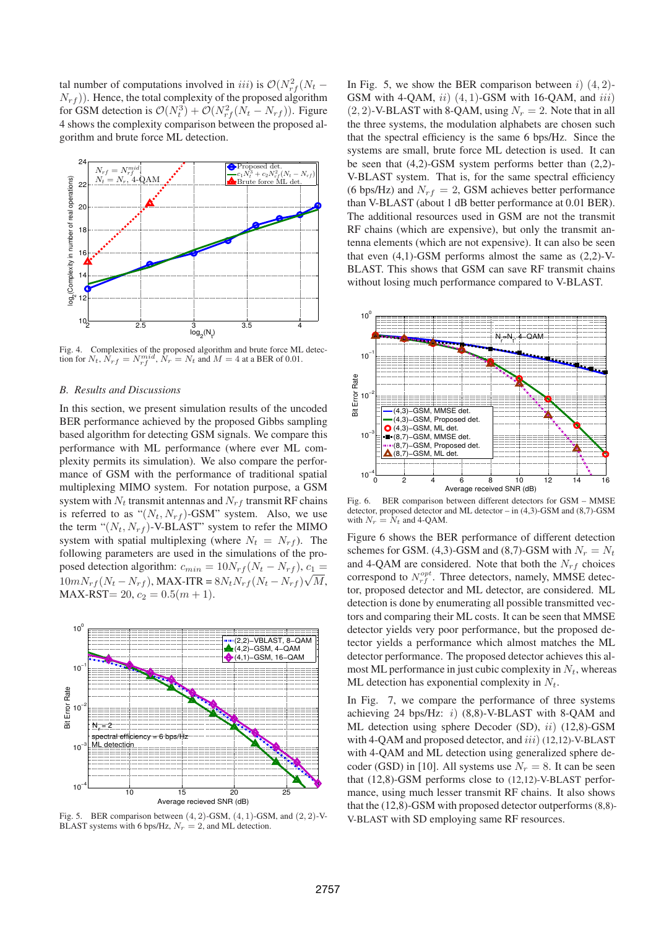tal number of computations involved in *iii*) is  $\mathcal{O}(N_{rf}^2(N_t N_{rf}$ ). Hence, the total complexity of the proposed algorithm for GSM detection is  $\mathcal{O}(N_t^3) + \mathcal{O}(N_{rf}^2(N_t - N_{rf}))$ . Figure 4 shows the complexity comparison between the proposed algorithm and brute force ML detection.



Fig. 4. Complexities of the proposed algorithm and brute force ML detection for  $N_t$ ,  $\hat{N}_{rf} = N_{rf}^{mid}$ ,  $\hat{N}_r = N_t$  and  $M = 4$  at a BER of 0.01.

# *B. Results and Discussions*

In this section, we present simulation results of the uncoded BER performance achieved by the proposed Gibbs sampling based algorithm for detecting GSM signals. We compare this performance with ML performance (where ever ML complexity permits its simulation). We also compare the performance of GSM with the performance of traditional spatial multiplexing MIMO system. For notation purpose, a GSM system with  $N_t$  transmit antennas and  $N_{rf}$  transmit RF chains is referred to as " $(N_t, N_{rf})$ -GSM" system. Also, we use the term " $(N_t, N_{rf})$ -V-BLAST" system to refer the MIMO system with spatial multiplexing (where  $N_t = N_{rf}$ ). The following parameters are used in the simulations of the proposed detection algorithm:  $c_{min} = 10N_{rf}(N_t - N_{rf})$ ,  $c_1 =$  $10mN_{rf}(N_t - N_{rf})$ , MAX-ITR =  $8N_tN_{rf}(N_t - N_{rf})\sqrt{M}$ , MAX-RST= 20,  $c_2 = 0.5(m + 1)$ .



Fig. 5. BER comparison between  $(4, 2)$ -GSM,  $(4, 1)$ -GSM, and  $(2, 2)$ -V-BLAST systems with 6 bps/Hz,  $N_r = 2$ , and ML detection.

In Fig. 5, we show the BER comparison between  $i$ )  $(4, 2)$ -GSM with 4-QAM,  $ii)$  (4, 1)-GSM with 16-QAM, and  $iii)$  $(2, 2)$ -V-BLAST with 8-QAM, using  $N_r = 2$ . Note that in all the three systems, the modulation alphabets are chosen such that the spectral efficiency is the same 6 bps/Hz. Since the systems are small, brute force ML detection is used. It can be seen that (4,2)-GSM system performs better than (2,2)- V-BLAST system. That is, for the same spectral efficiency (6 bps/Hz) and  $N_{rf} = 2$ , GSM achieves better performance than V-BLAST (about 1 dB better performance at 0.01 BER). The additional resources used in GSM are not the transmit RF chains (which are expensive), but only the transmit antenna elements (which are not expensive). It can also be seen that even  $(4,1)$ -GSM performs almost the same as  $(2,2)$ -V-BLAST. This shows that GSM can save RF transmit chains without losing much performance compared to V-BLAST.



Fig. 6. BER comparison between different detectors for GSM – MMSE detector, proposed detector and ML detector – in (4,3)-GSM and (8,7)-GSM with  $N_r = N_t$  and 4-QAM.

Figure 6 shows the BER performance of different detection schemes for GSM. (4,3)-GSM and (8,7)-GSM with  $N_r = N_t$ and 4-QAM are considered. Note that both the  $N_{rf}$  choices correspond to  $N_{rf}^{opt}$ . Three detectors, namely, MMSE detector, proposed detector and ML detector, are considered. ML detection is done by enumerating all possible transmitted vectors and comparing their ML costs. It can be seen that MMSE detector yields very poor performance, but the proposed detector yields a performance which almost matches the ML detector performance. The proposed detector achieves this almost ML performance in just cubic complexity in  $N_t$ , whereas ML detection has exponential complexity in  $N_t$ .

In Fig. 7, we compare the performance of three systems achieving 24 bps/Hz:  $i)$  (8,8)-V-BLAST with 8-QAM and ML detection using sphere Decoder (SD), ii) (12,8)-GSM with 4-QAM and proposed detector, and  $iii)$  (12,12)-V-BLAST with 4-QAM and ML detection using generalized sphere decoder (GSD) in [10]. All systems use  $N_r = 8$ . It can be seen that (12,8)-GSM performs close to (12,12)-V-BLAST performance, using much lesser transmit RF chains. It also shows that the (12,8)-GSM with proposed detector outperforms(8,8)- V-BLAST with SD employing same RF resources.